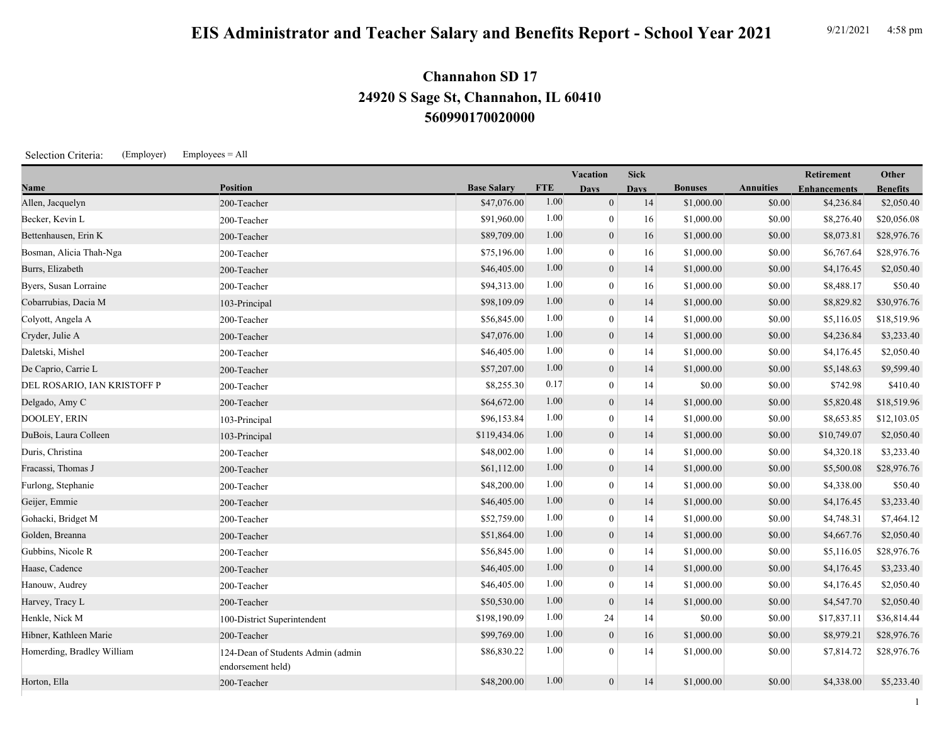## **EIS Administrator and Teacher Salary and Benefits Report - School Year 2021** 9/21/2021 4:58 pm

## **560990170020000 24920 S Sage St, Channahon, IL 60410 Channahon SD 17**

Selection Criteria: (Employer) Employees = All

|                             |                                                        |                    |            | Vacation         | <b>Sick</b> |                |                  | <b>Retirement</b>   | Other           |
|-----------------------------|--------------------------------------------------------|--------------------|------------|------------------|-------------|----------------|------------------|---------------------|-----------------|
| Name                        | <b>Position</b>                                        | <b>Base Salary</b> | <b>FTE</b> | <b>Days</b>      | <b>Days</b> | <b>Bonuses</b> | <b>Annuities</b> | <b>Enhancements</b> | <b>Benefits</b> |
| Allen, Jacquelyn            | 200-Teacher                                            | \$47,076.00        | 1.00       | $\overline{0}$   | 14          | \$1,000.00     | \$0.00           | \$4,236.84          | \$2,050.40      |
| Becker, Kevin L             | 200-Teacher                                            | \$91,960.00        | 1.00       | $\theta$         | 16          | \$1,000.00     | \$0.00           | \$8,276.40          | \$20,056.08     |
| Bettenhausen, Erin K        | 200-Teacher                                            | \$89,709.00        | 1.00       | $\overline{0}$   | 16          | \$1,000.00     | \$0.00           | \$8,073.81          | \$28,976.76     |
| Bosman, Alicia Thah-Nga     | 200-Teacher                                            | \$75,196.00        | 1.00       | $\overline{0}$   | 16          | \$1,000.00     | \$0.00           | \$6,767.64          | \$28,976.76     |
| Burrs, Elizabeth            | 200-Teacher                                            | \$46,405.00        | 1.00       | $\mathbf{0}$     | 14          | \$1,000.00     | \$0.00           | \$4,176.45          | \$2,050.40      |
| Byers, Susan Lorraine       | 200-Teacher                                            | \$94,313.00        | 1.00       | $\overline{0}$   | 16          | \$1,000.00     | \$0.00           | \$8,488.17          | \$50.40         |
| Cobarrubias, Dacia M        | 103-Principal                                          | \$98,109.09        | 1.00       | $\mathbf{0}$     | 14          | \$1,000.00     | \$0.00           | \$8,829.82          | \$30,976.76     |
| Colyott, Angela A           | 200-Teacher                                            | \$56,845.00        | 1.00       | $\overline{0}$   | 14          | \$1,000.00     | \$0.00           | \$5,116.05          | \$18,519.96     |
| Cryder, Julie A             | 200-Teacher                                            | \$47,076.00        | 1.00       | $\mathbf{0}$     | 14          | \$1,000.00     | \$0.00           | \$4,236.84          | \$3,233.40      |
| Daletski, Mishel            | 200-Teacher                                            | \$46,405.00        | 1.00       | $\mathbf{0}$     | 14          | \$1,000.00     | \$0.00           | \$4,176.45          | \$2,050.40      |
| De Caprio, Carrie L         | 200-Teacher                                            | \$57,207.00        | 1.00       | $\mathbf{0}$     | 14          | \$1,000.00     | \$0.00           | \$5,148.63          | \$9,599.40      |
| DEL ROSARIO, IAN KRISTOFF P | 200-Teacher                                            | \$8,255.30         | 0.17       | $\theta$         | 14          | \$0.00         | \$0.00           | \$742.98            | \$410.40        |
| Delgado, Amy C              | 200-Teacher                                            | \$64,672.00        | 1.00       | $\overline{0}$   | 14          | \$1,000.00     | \$0.00           | \$5,820.48          | \$18,519.96     |
| DOOLEY, ERIN                | 103-Principal                                          | \$96,153.84        | 1.00       | $\theta$         | 14          | \$1,000.00     | \$0.00           | \$8,653.85          | \$12,103.05     |
| DuBois, Laura Colleen       | 103-Principal                                          | \$119,434.06       | 1.00       | $\overline{0}$   | 14          | \$1,000.00     | \$0.00           | \$10,749.07         | \$2,050.40      |
| Duris, Christina            | 200-Teacher                                            | \$48,002.00        | 1.00       | $\overline{0}$   | 14          | \$1,000.00     | \$0.00           | \$4,320.18          | \$3,233.40      |
| Fracassi, Thomas J          | 200-Teacher                                            | \$61,112.00        | 1.00       | $\mathbf{0}$     | 14          | \$1,000.00     | \$0.00           | \$5,500.08          | \$28,976.76     |
| Furlong, Stephanie          | 200-Teacher                                            | \$48,200.00        | 1.00       | $\boldsymbol{0}$ | 14          | \$1,000.00     | \$0.00           | \$4,338.00          | \$50.40         |
| Geijer, Emmie               | 200-Teacher                                            | \$46,405.00        | 1.00       | $\mathbf{0}$     | 14          | \$1,000.00     | \$0.00           | \$4,176.45          | \$3,233.40      |
| Gohacki, Bridget M          | 200-Teacher                                            | \$52,759.00        | 1.00       | $\mathbf{0}$     | 14          | \$1,000.00     | \$0.00           | \$4,748.31          | \$7,464.12      |
| Golden, Breanna             | 200-Teacher                                            | \$51,864.00        | 1.00       | $\mathbf{0}$     | 14          | \$1,000.00     | \$0.00           | \$4,667.76          | \$2,050.40      |
| Gubbins, Nicole R           | 200-Teacher                                            | \$56,845.00        | 1.00       | $\mathbf{0}$     | 14          | \$1,000.00     | \$0.00           | \$5,116.05          | \$28,976.76     |
| Haase, Cadence              | 200-Teacher                                            | \$46,405.00        | 1.00       | $\overline{0}$   | 14          | \$1,000.00     | \$0.00           | \$4,176.45          | \$3,233.40      |
| Hanouw, Audrey              | 200-Teacher                                            | \$46,405.00        | 1.00       | $\overline{0}$   | 14          | \$1,000.00     | \$0.00           | \$4,176.45          | \$2,050.40      |
| Harvey, Tracy L             | 200-Teacher                                            | \$50,530.00        | 1.00       | $\overline{0}$   | 14          | \$1,000.00     | \$0.00           | \$4,547.70          | \$2,050.40      |
| Henkle, Nick M              | 100-District Superintendent                            | \$198,190.09       | 1.00       | 24               | 14          | \$0.00         | \$0.00           | \$17,837.11         | \$36,814.44     |
| Hibner, Kathleen Marie      | 200-Teacher                                            | \$99,769.00        | 1.00       | $\mathbf{0}$     | 16          | \$1,000.00     | \$0.00           | \$8,979.21          | \$28,976.76     |
| Homerding, Bradley William  | 124-Dean of Students Admin (admin<br>endorsement held) | \$86,830.22        | 1.00       | $\theta$         | 14          | \$1,000.00     | \$0.00           | \$7,814.72          | \$28,976.76     |
| Horton, Ella                | 200-Teacher                                            | \$48,200.00        | 1.00       | $\overline{0}$   | 14          | \$1,000.00     | \$0.00           | \$4,338.00          | \$5,233.40      |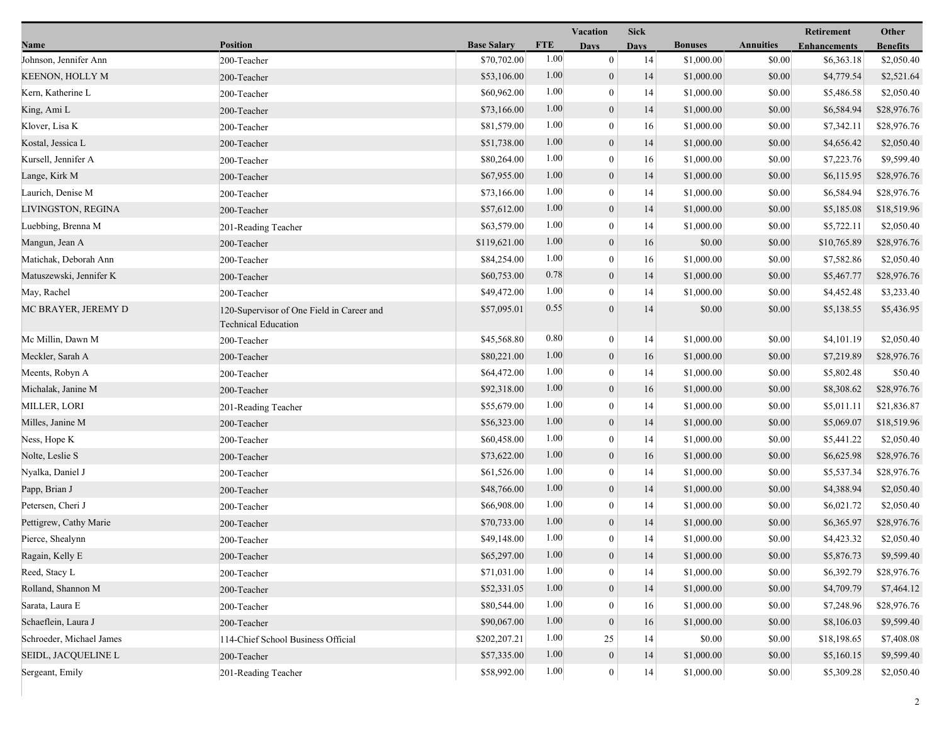|                          |                                                                         |                    |            | Vacation         | <b>Sick</b> |                |                  | Retirement          | Other           |
|--------------------------|-------------------------------------------------------------------------|--------------------|------------|------------------|-------------|----------------|------------------|---------------------|-----------------|
| Name                     | Position                                                                | <b>Base Salary</b> | <b>FTE</b> | <b>Days</b>      | <b>Days</b> | <b>Bonuses</b> | <b>Annuities</b> | <b>Enhancements</b> | <b>Benefits</b> |
| Johnson, Jennifer Ann    | 200-Teacher                                                             | \$70,702.00        | 1.00       | $\mathbf{0}$     | 14          | \$1,000.00     | \$0.00           | \$6,363.18          | \$2,050.40      |
| <b>KEENON, HOLLY M</b>   | 200-Teacher                                                             | \$53,106.00        | 1.00       | $\boldsymbol{0}$ | 14          | \$1,000.00     | \$0.00           | \$4,779.54          | \$2,521.64      |
| Kern, Katherine L        | 200-Teacher                                                             | \$60,962.00        | 1.00       | $\boldsymbol{0}$ | 14          | \$1,000.00     | \$0.00           | \$5,486.58          | \$2,050.40      |
| King, Ami L              | 200-Teacher                                                             | \$73,166.00        | 1.00       | $\mathbf{0}$     | 14          | \$1,000.00     | \$0.00           | \$6,584.94          | \$28,976.76     |
| Klover, Lisa K           | 200-Teacher                                                             | \$81,579.00        | 1.00       | $\mathbf{0}$     | 16          | \$1,000.00     | \$0.00           | \$7,342.11          | \$28,976.76     |
| Kostal, Jessica L        | 200-Teacher                                                             | \$51,738.00        | 1.00       | $\boldsymbol{0}$ | 14          | \$1,000.00     | \$0.00           | \$4,656.42          | \$2,050.40      |
| Kursell, Jennifer A      | 200-Teacher                                                             | \$80,264.00        | 1.00       | $\mathbf{0}$     | 16          | \$1,000.00     | \$0.00           | \$7,223.76          | \$9,599.40      |
| Lange, Kirk M            | 200-Teacher                                                             | \$67,955.00        | 1.00       | $\mathbf{0}$     | 14          | \$1,000.00     | \$0.00           | \$6,115.95          | \$28,976.76     |
| Laurich, Denise M        | 200-Teacher                                                             | \$73,166.00        | 1.00       | $\boldsymbol{0}$ | 14          | \$1,000.00     | \$0.00           | \$6,584.94          | \$28,976.76     |
| LIVINGSTON, REGINA       | 200-Teacher                                                             | \$57,612.00        | 1.00       | $\boldsymbol{0}$ | 14          | \$1,000.00     | \$0.00           | \$5,185.08          | \$18,519.96     |
| Luebbing, Brenna M       | 201-Reading Teacher                                                     | \$63,579.00        | 1.00       | $\bf{0}$         | 14          | \$1,000.00     | \$0.00           | \$5,722.11          | \$2,050.40      |
| Mangun, Jean A           | 200-Teacher                                                             | \$119,621.00       | 1.00       | $\mathbf{0}$     | 16          | \$0.00         | \$0.00           | \$10,765.89         | \$28,976.76     |
| Matichak, Deborah Ann    | 200-Teacher                                                             | \$84,254.00        | 1.00       | $\mathbf{0}$     | 16          | \$1,000.00     | \$0.00           | \$7,582.86          | \$2,050.40      |
| Matuszewski, Jennifer K  | 200-Teacher                                                             | \$60,753.00        | 0.78       | $\mathbf{0}$     | 14          | \$1,000.00     | \$0.00           | \$5,467.77          | \$28,976.76     |
| May, Rachel              | 200-Teacher                                                             | \$49,472.00        | 1.00       | $\mathbf{0}$     | 14          | \$1,000.00     | \$0.00           | \$4,452.48          | \$3,233.40      |
| MC BRAYER, JEREMY D      | 120-Supervisor of One Field in Career and<br><b>Technical Education</b> | \$57,095.01        | 0.55       | $\theta$         | 14          | \$0.00         | \$0.00           | \$5,138.55          | \$5,436.95      |
| Mc Millin, Dawn M        | 200-Teacher                                                             | \$45,568.80        | 0.80       | $\boldsymbol{0}$ | 14          | \$1,000.00     | \$0.00           | \$4,101.19          | \$2,050.40      |
| Meckler, Sarah A         | 200-Teacher                                                             | \$80,221.00        | 1.00       | $\mathbf{0}$     | 16          | \$1,000.00     | \$0.00           | \$7,219.89          | \$28,976.76     |
| Meents, Robyn A          | 200-Teacher                                                             | \$64,472.00        | 1.00       | $\bf{0}$         | 14          | \$1,000.00     | \$0.00           | \$5,802.48          | \$50.40         |
| Michalak, Janine M       | 200-Teacher                                                             | \$92,318.00        | 1.00       | $\mathbf{0}$     | 16          | \$1,000.00     | \$0.00           | \$8,308.62          | \$28,976.76     |
| MILLER, LORI             | 201-Reading Teacher                                                     | \$55,679.00        | 1.00       | $\boldsymbol{0}$ | 14          | \$1,000.00     | \$0.00           | \$5,011.11          | \$21,836.87     |
| Milles, Janine M         | 200-Teacher                                                             | \$56,323.00        | 1.00       | $\boldsymbol{0}$ | 14          | \$1,000.00     | \$0.00           | \$5,069.07          | \$18,519.96     |
| Ness, Hope K             | 200-Teacher                                                             | \$60,458.00        | 1.00       | $\bf{0}$         | 14          | \$1,000.00     | \$0.00           | \$5,441.22          | \$2,050.40      |
| Nolte, Leslie S          | 200-Teacher                                                             | \$73,622.00        | 1.00       | $\mathbf{0}$     | 16          | \$1,000.00     | \$0.00           | \$6,625.98          | \$28,976.76     |
| Nyalka, Daniel J         | 200-Teacher                                                             | \$61,526.00        | 1.00       | $\boldsymbol{0}$ | 14          | \$1,000.00     | \$0.00           | \$5,537.34          | \$28,976.76     |
| Papp, Brian J            | 200-Teacher                                                             | \$48,766.00        | 1.00       | $\mathbf{0}$     | 14          | \$1,000.00     | \$0.00           | \$4,388.94          | \$2,050.40      |
| Petersen, Cheri J        | 200-Teacher                                                             | \$66,908.00        | 1.00       | $\mathbf{0}$     | 14          | \$1,000.00     | \$0.00           | \$6,021.72          | \$2,050.40      |
| Pettigrew, Cathy Marie   | 200-Teacher                                                             | \$70,733.00        | 1.00       | $\boldsymbol{0}$ | 14          | \$1,000.00     | \$0.00           | \$6,365.97          | \$28,976.76     |
| Pierce, Shealynn         | 200-Teacher                                                             | \$49,148.00        | 1.00       | $\boldsymbol{0}$ | 14          | \$1,000.00     | \$0.00           | \$4,423.32          | \$2,050.40      |
| Ragain, Kelly E          | 200-Teacher                                                             | \$65,297.00        | 1.00       | $\mathbf{0}$     | 14          | \$1,000.00     | \$0.00           | \$5,876.73          | \$9,599.40      |
| Reed, Stacy L            | 200-Teacher                                                             | \$71,031.00        | 1.00       | $\bf{0}$         | 14          | \$1,000.00     | \$0.00           | \$6,392.79          | \$28,976.76     |
| Rolland, Shannon M       | 200-Teacher                                                             | \$52,331.05        | 1.00       | $\mathbf{0}$     | 14          | \$1,000.00     | \$0.00           | \$4,709.79          | \$7,464.12      |
| Sarata, Laura E          | 200-Teacher                                                             | \$80,544.00        | 1.00       | $\theta$         | 16          | \$1,000.00     | \$0.00           | \$7,248.96          | \$28,976.76     |
| Schaeflein, Laura J      | 200-Teacher                                                             | \$90,067.00        | 1.00       | $\boldsymbol{0}$ | 16          | \$1,000.00     | \$0.00           | \$8,106.03          | \$9,599.40      |
| Schroeder, Michael James | 114-Chief School Business Official                                      | \$202,207.21       | 1.00       | 25               | 14          | \$0.00         | \$0.00           | \$18,198.65         | \$7,408.08      |
| SEIDL, JACQUELINE L      | 200-Teacher                                                             | \$57,335.00        | 1.00       | $\boldsymbol{0}$ | 14          | \$1,000.00     | \$0.00           | \$5,160.15          | \$9,599.40      |
| Sergeant, Emily          | 201-Reading Teacher                                                     | \$58,992.00        | 1.00       | $\boldsymbol{0}$ | 14          | \$1,000.00     | \$0.00           | \$5,309.28          | \$2,050.40      |